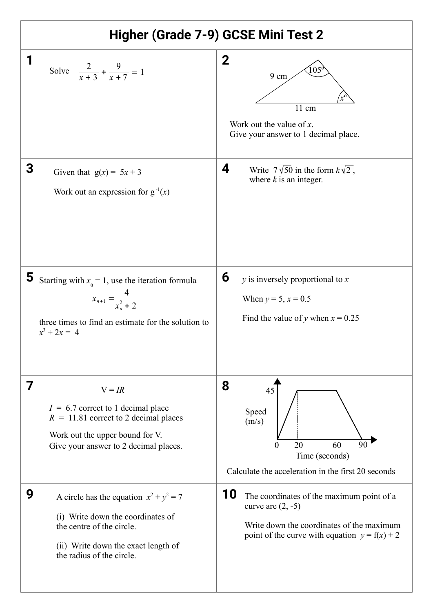| Higher (Grade 7-9) GCSE Mini Test 2                                                                                                                                                  |                                                                                                                                                                               |
|--------------------------------------------------------------------------------------------------------------------------------------------------------------------------------------|-------------------------------------------------------------------------------------------------------------------------------------------------------------------------------|
| 1<br>Solve $\frac{2}{x+3} + \frac{9}{x+7} = 1$                                                                                                                                       | 2<br>$105^{\circ}$<br>9 cm<br>$11 \text{ cm}$<br>Work out the value of $x$ .<br>Give your answer to 1 decimal place.                                                          |
| 3<br>Given that $g(x) = 5x + 3$<br>Work out an expression for $g^{-1}(x)$                                                                                                            | 4<br>Write $7\sqrt{50}$ in the form $k\sqrt{2}$ ,<br>where $k$ is an integer.                                                                                                 |
| 5<br>Starting with $x_0 = 1$ , use the iteration formula<br>$x_{n+1} = \frac{4}{x_n^2 + 2}$<br>three times to find an estimate for the solution to<br>$x^3 + 2x = 4$                 | 6<br>$y$ is inversely proportional to $x$<br>When $y = 5$ , $x = 0.5$<br>Find the value of y when $x = 0.25$                                                                  |
| 7<br>$V = IR$<br>$I = 6.7$ correct to 1 decimal place<br>$R = 11.81$ correct to 2 decimal places<br>Work out the upper bound for V.<br>Give your answer to 2 decimal places.         | 8<br>45<br>Speed<br>(m/s)<br>$\overline{90}$<br>20<br>60<br>0<br>Time (seconds)<br>Calculate the acceleration in the first 20 seconds                                         |
| 9<br>A circle has the equation $x^2 + y^2 = 7$<br>(i) Write down the coordinates of<br>the centre of the circle.<br>(ii) Write down the exact length of<br>the radius of the circle. | <b>10</b><br>The coordinates of the maximum point of a<br>curve are $(2, -5)$<br>Write down the coordinates of the maximum<br>point of the curve with equation $y = f(x) + 2$ |